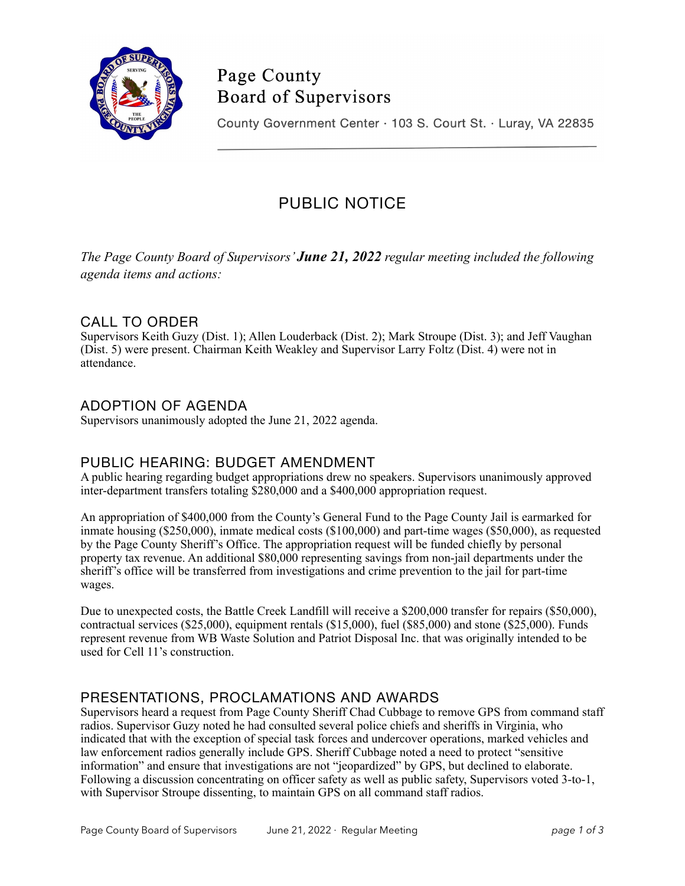

# Page County **Board of Supervisors**

County Government Center · 103 S. Court St. · Luray, VA 22835

# PUBLIC NOTICE

*The Page County Board of Supervisors' June 21, 2022 regular meeting included the following agenda items and actions:*

# CALL TO ORDER

Supervisors Keith Guzy (Dist. 1); Allen Louderback (Dist. 2); Mark Stroupe (Dist. 3); and Jeff Vaughan (Dist. 5) were present. Chairman Keith Weakley and Supervisor Larry Foltz (Dist. 4) were not in attendance.

## ADOPTION OF AGENDA

Supervisors unanimously adopted the June 21, 2022 agenda.

## PUBLIC HEARING: BUDGET AMENDMENT

A public hearing regarding budget appropriations drew no speakers. Supervisors unanimously approved inter-department transfers totaling \$280,000 and a \$400,000 appropriation request.

An appropriation of \$400,000 from the County's General Fund to the Page County Jail is earmarked for inmate housing (\$250,000), inmate medical costs (\$100,000) and part-time wages (\$50,000), as requested by the Page County Sheriff's Office. The appropriation request will be funded chiefly by personal property tax revenue. An additional \$80,000 representing savings from non-jail departments under the sheriff's office will be transferred from investigations and crime prevention to the jail for part-time wages.

Due to unexpected costs, the Battle Creek Landfill will receive a \$200,000 transfer for repairs (\$50,000), contractual services (\$25,000), equipment rentals (\$15,000), fuel (\$85,000) and stone (\$25,000). Funds represent revenue from WB Waste Solution and Patriot Disposal Inc. that was originally intended to be used for Cell 11's construction.

## PRESENTATIONS, PROCLAMATIONS AND AWARDS

Supervisors heard a request from Page County Sheriff Chad Cubbage to remove GPS from command staff radios. Supervisor Guzy noted he had consulted several police chiefs and sheriffs in Virginia, who indicated that with the exception of special task forces and undercover operations, marked vehicles and law enforcement radios generally include GPS. Sheriff Cubbage noted a need to protect "sensitive information" and ensure that investigations are not "jeopardized" by GPS, but declined to elaborate. Following a discussion concentrating on officer safety as well as public safety, Supervisors voted 3-to-1, with Supervisor Stroupe dissenting, to maintain GPS on all command staff radios.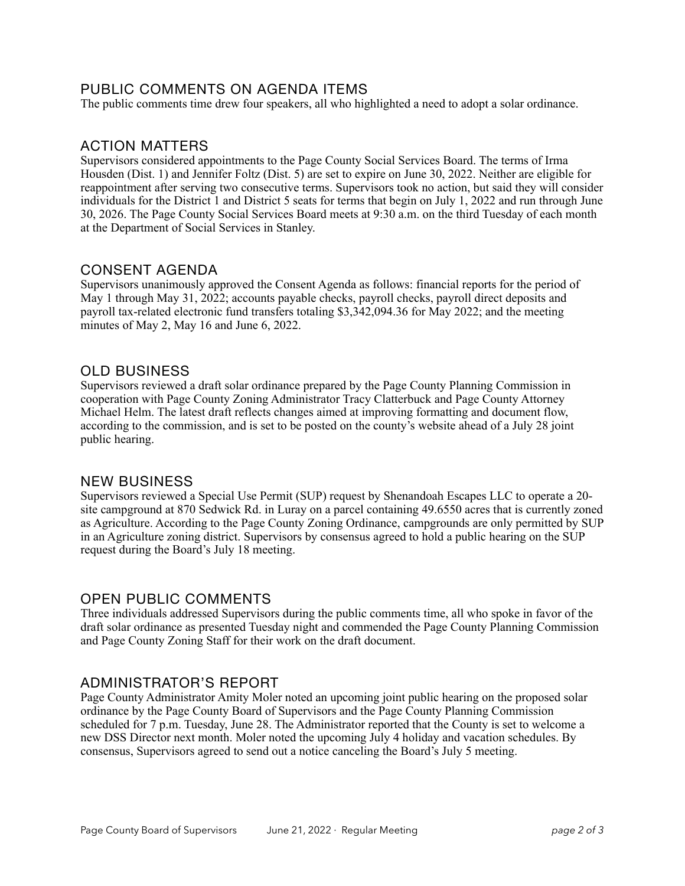### PUBLIC COMMENTS ON AGENDA ITEMS

The public comments time drew four speakers, all who highlighted a need to adopt a solar ordinance.

## ACTION MATTERS

Supervisors considered appointments to the Page County Social Services Board. The terms of Irma Housden (Dist. 1) and Jennifer Foltz (Dist. 5) are set to expire on June 30, 2022. Neither are eligible for reappointment after serving two consecutive terms. Supervisors took no action, but said they will consider individuals for the District 1 and District 5 seats for terms that begin on July 1, 2022 and run through June 30, 2026. The Page County Social Services Board meets at 9:30 a.m. on the third Tuesday of each month at the Department of Social Services in Stanley.

#### CONSENT AGENDA

Supervisors unanimously approved the Consent Agenda as follows: financial reports for the period of May 1 through May 31, 2022; accounts payable checks, payroll checks, payroll direct deposits and payroll tax-related electronic fund transfers totaling \$3,342,094.36 for May 2022; and the meeting minutes of May 2, May 16 and June 6, 2022.

### OLD BUSINESS

Supervisors reviewed a draft solar ordinance prepared by the Page County Planning Commission in cooperation with Page County Zoning Administrator Tracy Clatterbuck and Page County Attorney Michael Helm. The latest draft reflects changes aimed at improving formatting and document flow, according to the commission, and is set to be posted on the county's website ahead of a July 28 joint public hearing.

#### NEW BUSINESS

Supervisors reviewed a Special Use Permit (SUP) request by Shenandoah Escapes LLC to operate a 20 site campground at 870 Sedwick Rd. in Luray on a parcel containing 49.6550 acres that is currently zoned as Agriculture. According to the Page County Zoning Ordinance, campgrounds are only permitted by SUP in an Agriculture zoning district. Supervisors by consensus agreed to hold a public hearing on the SUP request during the Board's July 18 meeting.

## OPEN PUBLIC COMMENTS

Three individuals addressed Supervisors during the public comments time, all who spoke in favor of the draft solar ordinance as presented Tuesday night and commended the Page County Planning Commission and Page County Zoning Staff for their work on the draft document.

#### ADMINISTRATOR'S REPORT

Page County Administrator Amity Moler noted an upcoming joint public hearing on the proposed solar ordinance by the Page County Board of Supervisors and the Page County Planning Commission scheduled for 7 p.m. Tuesday, June 28. The Administrator reported that the County is set to welcome a new DSS Director next month. Moler noted the upcoming July 4 holiday and vacation schedules. By consensus, Supervisors agreed to send out a notice canceling the Board's July 5 meeting.